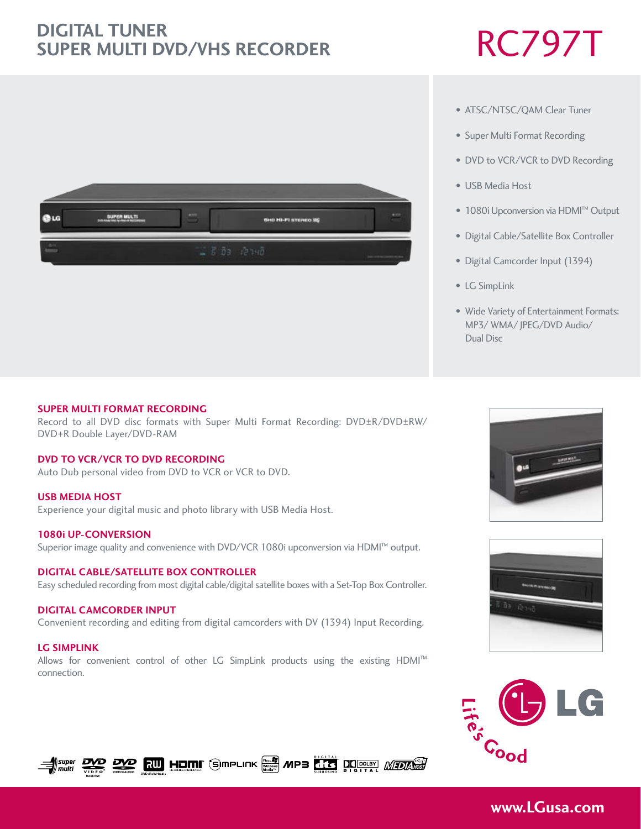# RC797T **Digital Tuner Super Multi DVD/VHS Recorder**



## • ATSC/NTSC/QAM Clear Tuner

- Super Multi Format Recording
- DVD to VCR/VCR to DVD Recording
- USB Media Host
- 1080i Upconversion via HDMI™ Output
- Digital Cable/Satellite Box Controller
- Digital Camcorder Input (1394)
- LG SimpLink
- Wide Variety of Entertainment Formats: MP3/ WMA/ JPEG/DVD Audio/ Dual Disc

### **SUPER MULTI FORMAT RECORDING**

Record to all DVD disc formats with Super Multi Format Recording: DVD±R/DVD±RW/ DVD+R Double Layer/DVD-RAM

## **DVD to vcr/vcr to dvd recording**

Auto Dub personal video from DVD to VCR or VCR to DVD.

## **USB MEDia Host**

Experience your digital music and photo library with USB Media Host.

### **1080i up-conversion**

**RAM/RW**

super|<br>multi

**VIDEO/AUDIO**

Superior image quality and convenience with DVD/VCR 1080i upconversion via HDMI™ output.

## **digital cable/satellite box controller**

Easy scheduled recording from most digital cable/digital satellite boxes with a Set-Top Box Controller.

## **digital camcorder input**

Convenient recording and editing from digital camcorders with DV (1394) Input Recording.

## **LG Simplink** Allows for convenient control of other LG SimpLink products using the existing HDMI™ connection.

**RUI HOMI** GIMPLINK **MPB KING DE REAL MEDIAL** 







# **www.LGusa.com**